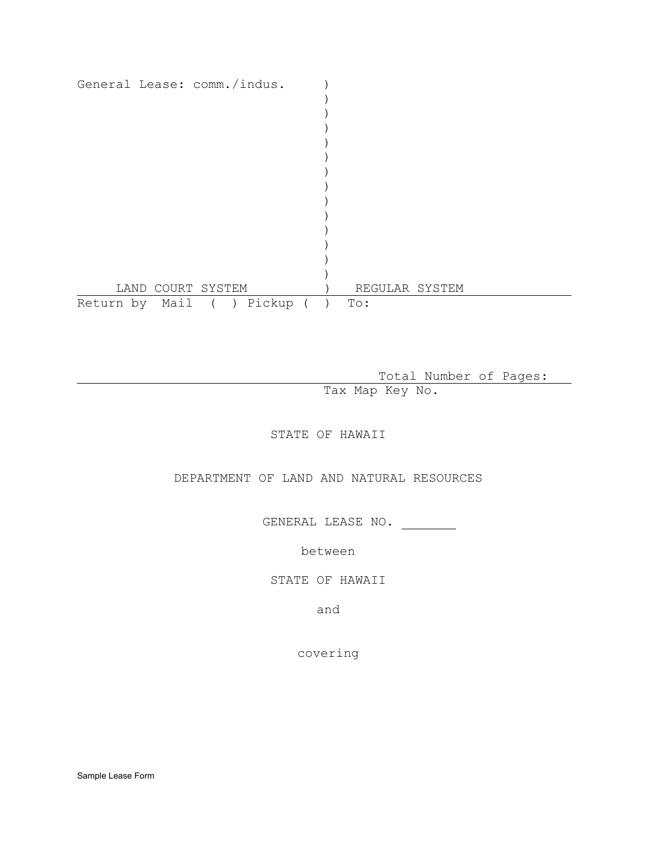| General Lease: comm./indus. |                   |  |  |                |  |  |
|-----------------------------|-------------------|--|--|----------------|--|--|
|                             |                   |  |  |                |  |  |
|                             |                   |  |  |                |  |  |
|                             |                   |  |  |                |  |  |
|                             |                   |  |  |                |  |  |
|                             |                   |  |  |                |  |  |
|                             |                   |  |  |                |  |  |
|                             |                   |  |  |                |  |  |
|                             |                   |  |  |                |  |  |
|                             |                   |  |  |                |  |  |
|                             |                   |  |  |                |  |  |
|                             |                   |  |  |                |  |  |
|                             |                   |  |  |                |  |  |
|                             |                   |  |  |                |  |  |
|                             | LAND COURT SYSTEM |  |  | REGULAR SYSTEM |  |  |
| Return by Mail ( ) Pickup   |                   |  |  | To:            |  |  |

Total Number of Pages:

Tax Map Key No.

STATE OF HAWAII

DEPARTMENT OF LAND AND NATURAL RESOURCES

GENERAL LEASE NO.

between

STATE OF HAWAII

and

covering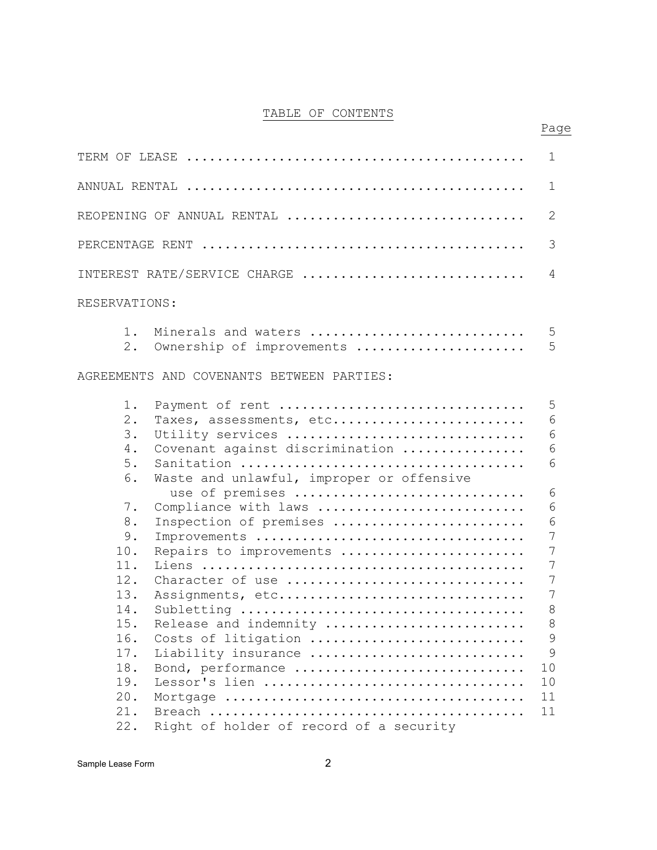# TABLE OF CONTENTS

Page

|                                                                                                                                                                                                        | 1                                                                                                     |  |  |  |  |  |  |  |  |  |
|--------------------------------------------------------------------------------------------------------------------------------------------------------------------------------------------------------|-------------------------------------------------------------------------------------------------------|--|--|--|--|--|--|--|--|--|
| 1                                                                                                                                                                                                      |                                                                                                       |  |  |  |  |  |  |  |  |  |
| REOPENING OF ANNUAL RENTAL                                                                                                                                                                             | $\mathbf{2}$                                                                                          |  |  |  |  |  |  |  |  |  |
|                                                                                                                                                                                                        | 3                                                                                                     |  |  |  |  |  |  |  |  |  |
| INTEREST RATE/SERVICE CHARGE                                                                                                                                                                           | 4                                                                                                     |  |  |  |  |  |  |  |  |  |
| RESERVATIONS:                                                                                                                                                                                          |                                                                                                       |  |  |  |  |  |  |  |  |  |
| Minerals and waters<br>$1$ .<br>2.<br>Ownership of improvements                                                                                                                                        | 5<br>5                                                                                                |  |  |  |  |  |  |  |  |  |
| AGREEMENTS AND COVENANTS BETWEEN PARTIES:                                                                                                                                                              |                                                                                                       |  |  |  |  |  |  |  |  |  |
| Payment of rent<br>1.<br>$2$ .<br>Taxes, assessments, etc<br>3.<br>Utility services<br>Covenant against discrimination<br>4.<br>5.                                                                     | 5<br>6<br>$6\,$<br>$6\phantom{1}6$<br>6                                                               |  |  |  |  |  |  |  |  |  |
| Waste and unlawful, improper or offensive<br>6.<br>use of premises<br>Compliance with laws<br>7.<br>8.<br>Inspection of premises<br>9.<br>Improvements<br>10.<br>Repairs to improvements               | 6<br>6<br>$\epsilon$<br>7<br>$\overline{7}$                                                           |  |  |  |  |  |  |  |  |  |
| 11.<br>12.<br>Character of use<br>13.<br>Assignments, etc<br>14.<br>15.<br>Release and indemnity<br>16.<br>Costs of litigation<br>17.<br>Liability insurance<br>18.<br>Bond, performance<br>19.<br>20. | 7<br>$\overline{7}$<br>$7\phantom{.0}$<br>$\,8\,$<br>$\,8\,$<br>9<br>$\overline{9}$<br>10<br>10<br>11 |  |  |  |  |  |  |  |  |  |
| 21.                                                                                                                                                                                                    | 11                                                                                                    |  |  |  |  |  |  |  |  |  |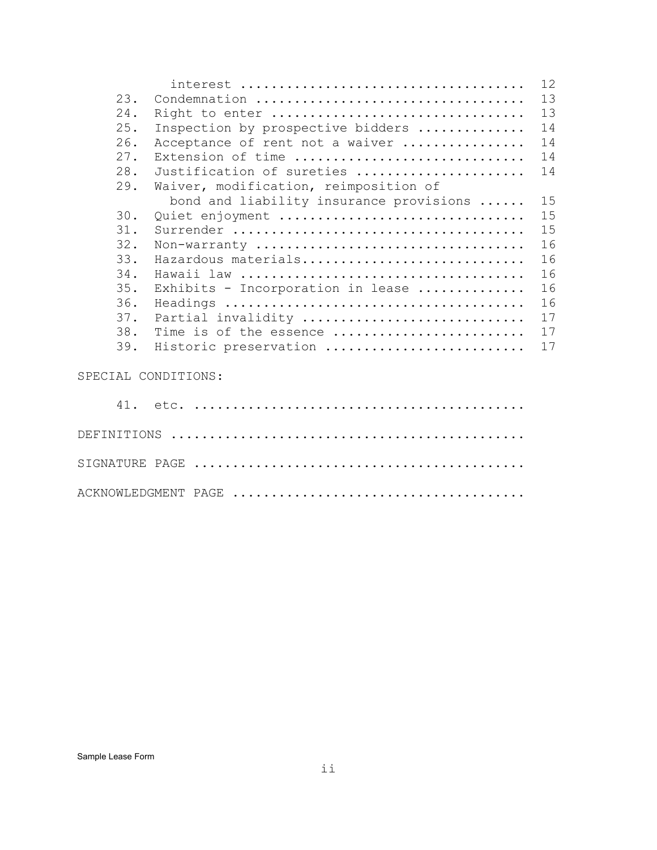|                     |                                         | 12 |
|---------------------|-----------------------------------------|----|
| 23.                 | Condemnation                            | 13 |
| 24.                 | Right to enter                          | 13 |
| 25.                 | Inspection by prospective bidders       | 14 |
| 26.                 | Acceptance of rent not a waiver         | 14 |
| 27.                 | Extension of time                       | 14 |
| 28.                 | Justification of sureties               | 14 |
| 29.                 | Waiver, modification, reimposition of   |    |
|                     | bond and liability insurance provisions | 15 |
| 30.                 | Quiet enjoyment                         | 15 |
| 31.                 |                                         | 15 |
| 32.                 | Non-warranty                            | 16 |
| 33.                 | Hazardous materials                     | 16 |
| 34.                 |                                         | 16 |
| 35.                 | Exhibits - Incorporation in lease       | 16 |
| 36.                 |                                         | 16 |
| 37.                 | Partial invalidity                      | 17 |
| 38.                 | Time is of the essence                  | 17 |
| 39.                 | Historic preservation                   | 17 |
| SPECIAL CONDITIONS: |                                         |    |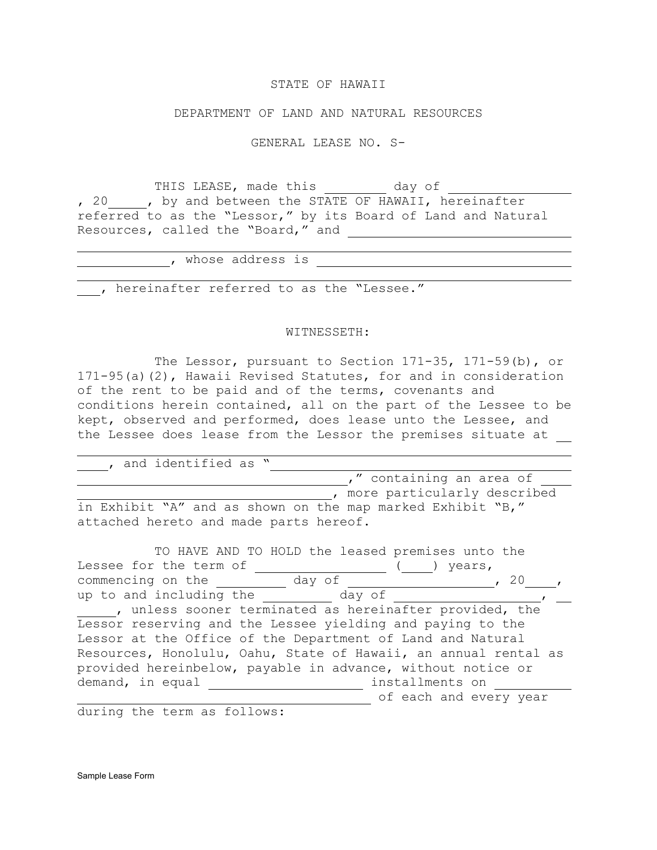### STATE OF HAWAII

#### DEPARTMENT OF LAND AND NATURAL RESOURCES

GENERAL LEASE NO. S-

THIS LEASE, made this day of , 20 , by and between the STATE OF HAWAII, hereinafter referred to as the "Lessor," by its Board of Land and Natural Resources, called the "Board," and

| whose address is                         |  |
|------------------------------------------|--|
|                                          |  |
| hereinafter referred to as the "Lessee." |  |

#### WITNESSETH:

The Lessor, pursuant to Section 171-35, 171-59(b), or 171-95(a)(2), Hawaii Revised Statutes, for and in consideration of the rent to be paid and of the terms, covenants and conditions herein contained, all on the part of the Lessee to be kept, observed and performed, does lease unto the Lessee, and the Lessee does lease from the Lessor the premises situate at

 , and identified as " ," containing an area of **1208**, more particularly described in Exhibit "A" and as shown on the map marked Exhibit "B," attached hereto and made parts hereof.

| TO HAVE AND TO HOLD the leased premises unto the                |
|-----------------------------------------------------------------|
| Lessee for the term of<br>years,                                |
| commencing on the<br>day of<br>20                               |
| up to and including the<br>day of                               |
| , unless sooner terminated as hereinafter provided, the         |
| Lessor reserving and the Lessee yielding and paying to the      |
| Lessor at the Office of the Department of Land and Natural      |
| Resources, Honolulu, Oahu, State of Hawaii, an annual rental as |
| provided hereinbelow, payable in advance, without notice or     |
| demand, in equal<br>installments on                             |
| of each and every year                                          |

during the term as follows:

Sample Lease Form

j.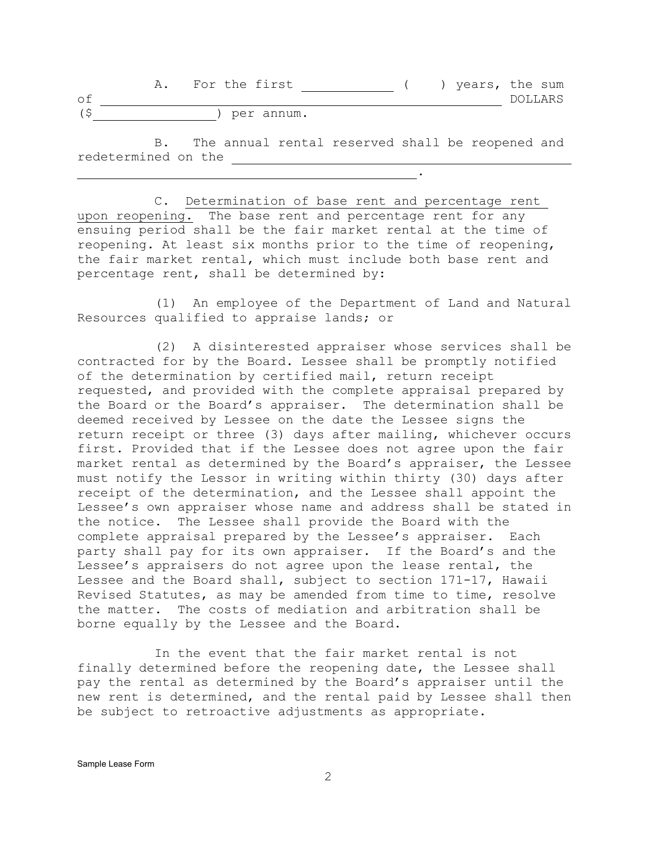|    | For the first |  | years, the sum |         |  |
|----|---------------|--|----------------|---------|--|
| оf |               |  |                | DOLLARS |  |
|    | per annum.    |  |                |         |  |

B. The annual rental reserved shall be reopened and redetermined on the

.

C. Determination of base rent and percentage rent upon reopening. The base rent and percentage rent for any ensuing period shall be the fair market rental at the time of reopening. At least six months prior to the time of reopening, the fair market rental, which must include both base rent and percentage rent, shall be determined by:

(1) An employee of the Department of Land and Natural Resources qualified to appraise lands; or

(2) A disinterested appraiser whose services shall be contracted for by the Board. Lessee shall be promptly notified of the determination by certified mail, return receipt requested, and provided with the complete appraisal prepared by the Board or the Board's appraiser. The determination shall be deemed received by Lessee on the date the Lessee signs the return receipt or three (3) days after mailing, whichever occurs first. Provided that if the Lessee does not agree upon the fair market rental as determined by the Board's appraiser, the Lessee must notify the Lessor in writing within thirty (30) days after receipt of the determination, and the Lessee shall appoint the Lessee's own appraiser whose name and address shall be stated in the notice. The Lessee shall provide the Board with the complete appraisal prepared by the Lessee's appraiser. Each party shall pay for its own appraiser. If the Board's and the Lessee's appraisers do not agree upon the lease rental, the Lessee and the Board shall, subject to section 171-17, Hawaii Revised Statutes, as may be amended from time to time, resolve the matter. The costs of mediation and arbitration shall be borne equally by the Lessee and the Board.

In the event that the fair market rental is not finally determined before the reopening date, the Lessee shall pay the rental as determined by the Board's appraiser until the new rent is determined, and the rental paid by Lessee shall then be subject to retroactive adjustments as appropriate.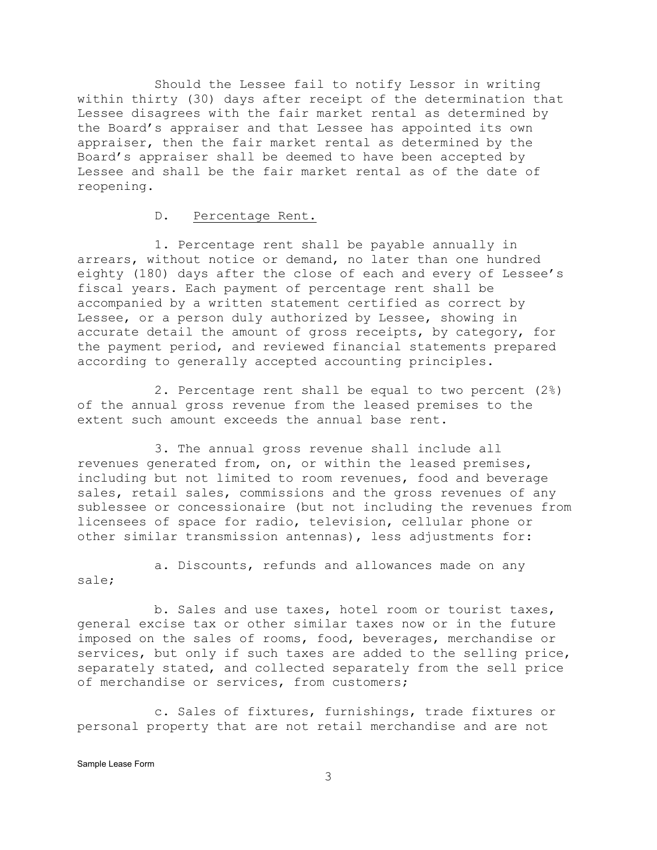Should the Lessee fail to notify Lessor in writing within thirty (30) days after receipt of the determination that Lessee disagrees with the fair market rental as determined by the Board's appraiser and that Lessee has appointed its own appraiser, then the fair market rental as determined by the Board's appraiser shall be deemed to have been accepted by Lessee and shall be the fair market rental as of the date of reopening.

#### D. Percentage Rent.

1. Percentage rent shall be payable annually in arrears, without notice or demand, no later than one hundred eighty (180) days after the close of each and every of Lessee's fiscal years. Each payment of percentage rent shall be accompanied by a written statement certified as correct by Lessee, or a person duly authorized by Lessee, showing in accurate detail the amount of gross receipts, by category, for the payment period, and reviewed financial statements prepared according to generally accepted accounting principles.

2. Percentage rent shall be equal to two percent (2%) of the annual gross revenue from the leased premises to the extent such amount exceeds the annual base rent.

3. The annual gross revenue shall include all revenues generated from, on, or within the leased premises, including but not limited to room revenues, food and beverage sales, retail sales, commissions and the gross revenues of any sublessee or concessionaire (but not including the revenues from licensees of space for radio, television, cellular phone or other similar transmission antennas), less adjustments for:

a. Discounts, refunds and allowances made on any sale;

b. Sales and use taxes, hotel room or tourist taxes, general excise tax or other similar taxes now or in the future imposed on the sales of rooms, food, beverages, merchandise or services, but only if such taxes are added to the selling price, separately stated, and collected separately from the sell price of merchandise or services, from customers;

c. Sales of fixtures, furnishings, trade fixtures or personal property that are not retail merchandise and are not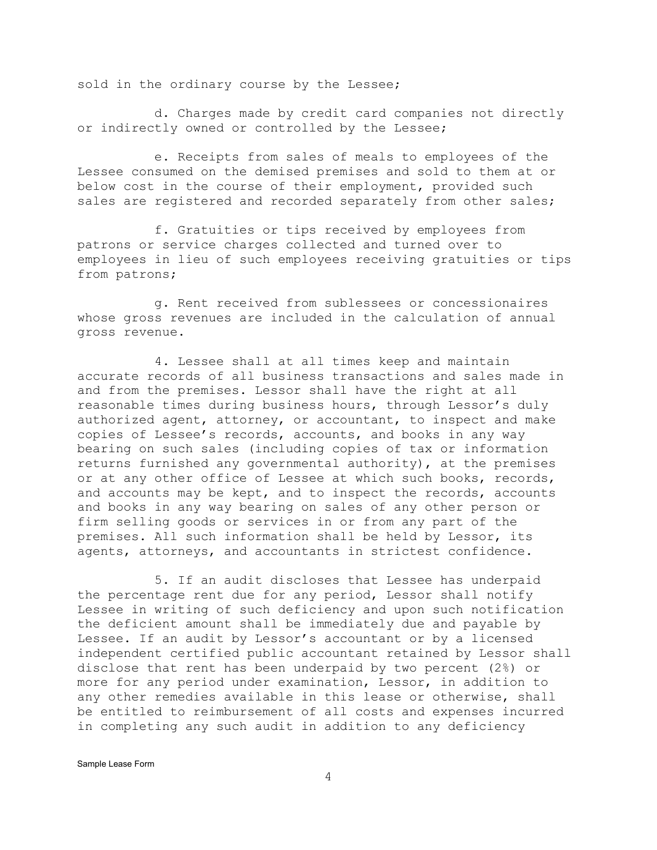sold in the ordinary course by the Lessee;

d. Charges made by credit card companies not directly or indirectly owned or controlled by the Lessee;

e. Receipts from sales of meals to employees of the Lessee consumed on the demised premises and sold to them at or below cost in the course of their employment, provided such sales are registered and recorded separately from other sales;

f. Gratuities or tips received by employees from patrons or service charges collected and turned over to employees in lieu of such employees receiving gratuities or tips from patrons;

g. Rent received from sublessees or concessionaires whose gross revenues are included in the calculation of annual gross revenue.

4. Lessee shall at all times keep and maintain accurate records of all business transactions and sales made in and from the premises. Lessor shall have the right at all reasonable times during business hours, through Lessor's duly authorized agent, attorney, or accountant, to inspect and make copies of Lessee's records, accounts, and books in any way bearing on such sales (including copies of tax or information returns furnished any governmental authority), at the premises or at any other office of Lessee at which such books, records, and accounts may be kept, and to inspect the records, accounts and books in any way bearing on sales of any other person or firm selling goods or services in or from any part of the premises. All such information shall be held by Lessor, its agents, attorneys, and accountants in strictest confidence.

5. If an audit discloses that Lessee has underpaid the percentage rent due for any period, Lessor shall notify Lessee in writing of such deficiency and upon such notification the deficient amount shall be immediately due and payable by Lessee. If an audit by Lessor's accountant or by a licensed independent certified public accountant retained by Lessor shall disclose that rent has been underpaid by two percent (2%) or more for any period under examination, Lessor, in addition to any other remedies available in this lease or otherwise, shall be entitled to reimbursement of all costs and expenses incurred in completing any such audit in addition to any deficiency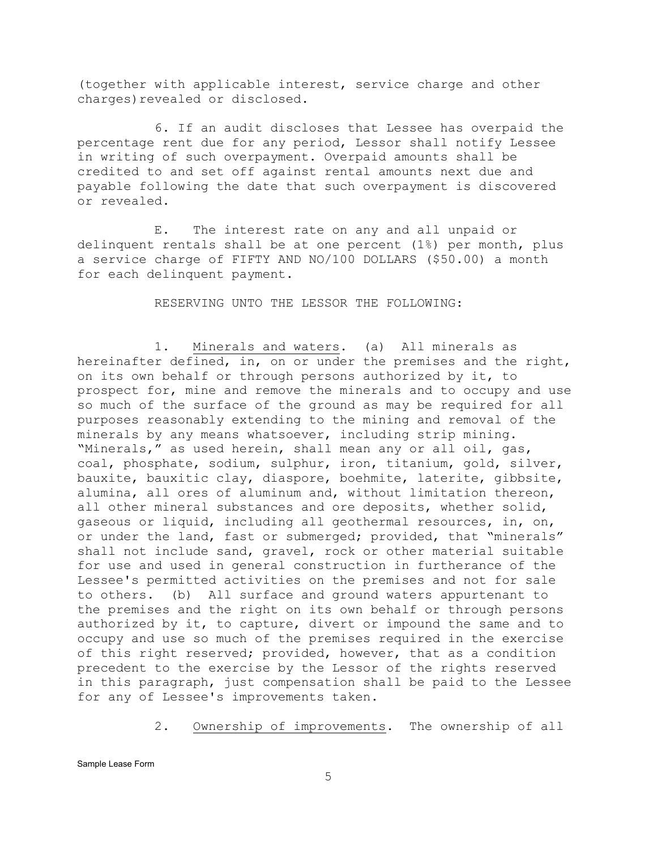(together with applicable interest, service charge and other charges)revealed or disclosed.

6. If an audit discloses that Lessee has overpaid the percentage rent due for any period, Lessor shall notify Lessee in writing of such overpayment. Overpaid amounts shall be credited to and set off against rental amounts next due and payable following the date that such overpayment is discovered or revealed.

E. The interest rate on any and all unpaid or delinquent rentals shall be at one percent (1%) per month, plus a service charge of FIFTY AND NO/100 DOLLARS (\$50.00) a month for each delinquent payment.

RESERVING UNTO THE LESSOR THE FOLLOWING:

1. Minerals and waters. (a) All minerals as hereinafter defined, in, on or under the premises and the right, on its own behalf or through persons authorized by it, to prospect for, mine and remove the minerals and to occupy and use so much of the surface of the ground as may be required for all purposes reasonably extending to the mining and removal of the minerals by any means whatsoever, including strip mining. "Minerals," as used herein, shall mean any or all oil, gas, coal, phosphate, sodium, sulphur, iron, titanium, gold, silver, bauxite, bauxitic clay, diaspore, boehmite, laterite, gibbsite, alumina, all ores of aluminum and, without limitation thereon, all other mineral substances and ore deposits, whether solid, gaseous or liquid, including all geothermal resources, in, on, or under the land, fast or submerged; provided, that "minerals" shall not include sand, gravel, rock or other material suitable for use and used in general construction in furtherance of the Lessee's permitted activities on the premises and not for sale to others. (b) All surface and ground waters appurtenant to the premises and the right on its own behalf or through persons authorized by it, to capture, divert or impound the same and to occupy and use so much of the premises required in the exercise of this right reserved; provided, however, that as a condition precedent to the exercise by the Lessor of the rights reserved in this paragraph, just compensation shall be paid to the Lessee for any of Lessee's improvements taken.

2. Ownership of improvements. The ownership of all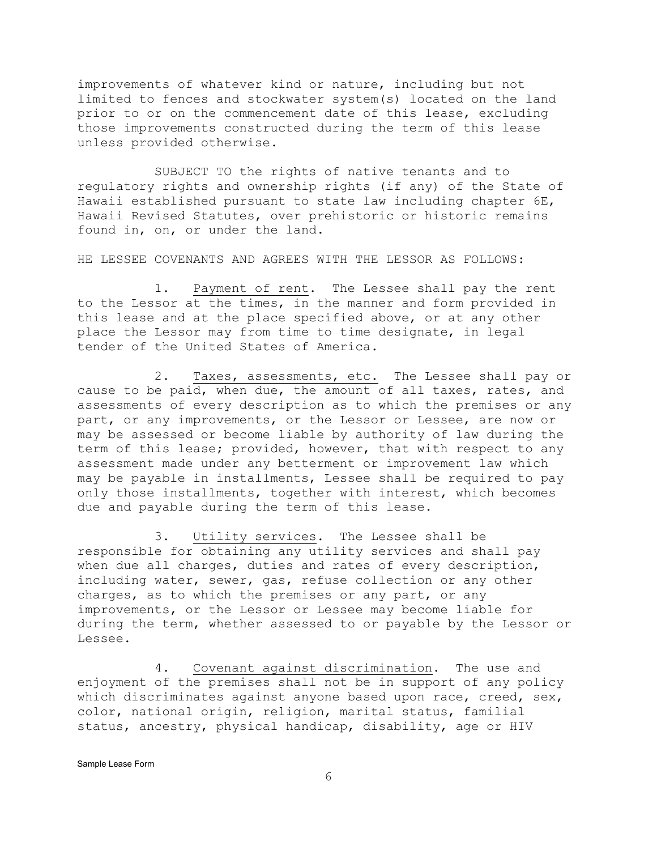improvements of whatever kind or nature, including but not limited to fences and stockwater system(s) located on the land prior to or on the commencement date of this lease, excluding those improvements constructed during the term of this lease unless provided otherwise.

SUBJECT TO the rights of native tenants and to regulatory rights and ownership rights (if any) of the State of Hawaii established pursuant to state law including chapter 6E, Hawaii Revised Statutes, over prehistoric or historic remains found in, on, or under the land.

HE LESSEE COVENANTS AND AGREES WITH THE LESSOR AS FOLLOWS:

1. Payment of rent. The Lessee shall pay the rent to the Lessor at the times, in the manner and form provided in this lease and at the place specified above, or at any other place the Lessor may from time to time designate, in legal tender of the United States of America.

2. Taxes, assessments, etc. The Lessee shall pay or cause to be paid, when due, the amount of all taxes, rates, and assessments of every description as to which the premises or any part, or any improvements, or the Lessor or Lessee, are now or may be assessed or become liable by authority of law during the term of this lease; provided, however, that with respect to any assessment made under any betterment or improvement law which may be payable in installments, Lessee shall be required to pay only those installments, together with interest, which becomes due and payable during the term of this lease.

3. Utility services. The Lessee shall be responsible for obtaining any utility services and shall pay when due all charges, duties and rates of every description, including water, sewer, gas, refuse collection or any other charges, as to which the premises or any part, or any improvements, or the Lessor or Lessee may become liable for during the term, whether assessed to or payable by the Lessor or Lessee.

4. Covenant against discrimination. The use and enjoyment of the premises shall not be in support of any policy which discriminates against anyone based upon race, creed, sex, color, national origin, religion, marital status, familial status, ancestry, physical handicap, disability, age or HIV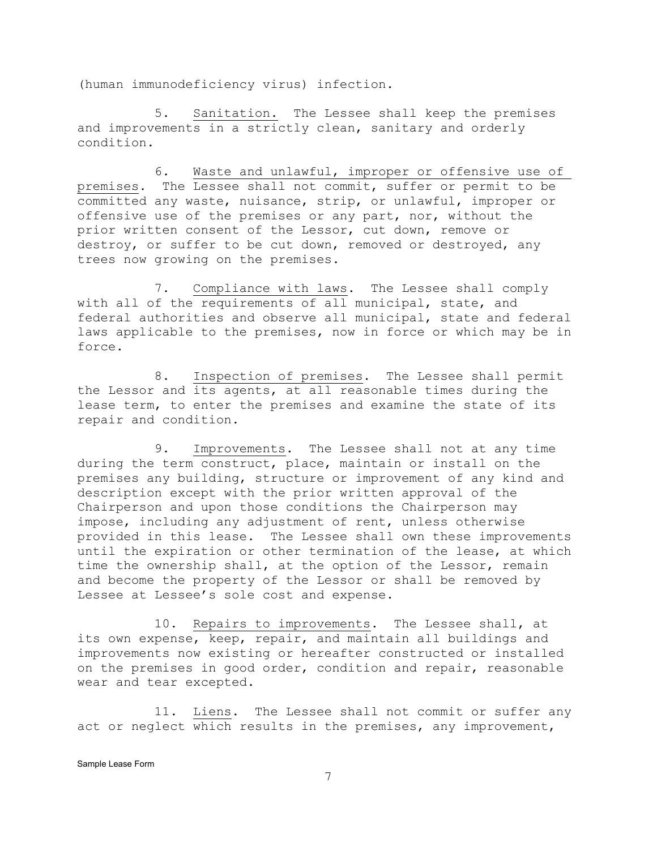(human immunodeficiency virus) infection.

5. Sanitation. The Lessee shall keep the premises and improvements in a strictly clean, sanitary and orderly condition.

6. Waste and unlawful, improper or offensive use of premises. The Lessee shall not commit, suffer or permit to be committed any waste, nuisance, strip, or unlawful, improper or offensive use of the premises or any part, nor, without the prior written consent of the Lessor, cut down, remove or destroy, or suffer to be cut down, removed or destroyed, any trees now growing on the premises.

7. Compliance with laws. The Lessee shall comply with all of the requirements of all municipal, state, and federal authorities and observe all municipal, state and federal laws applicable to the premises, now in force or which may be in force.

8. Inspection of premises. The Lessee shall permit the Lessor and its agents, at all reasonable times during the lease term, to enter the premises and examine the state of its repair and condition.

9. Improvements. The Lessee shall not at any time during the term construct, place, maintain or install on the premises any building, structure or improvement of any kind and description except with the prior written approval of the Chairperson and upon those conditions the Chairperson may impose, including any adjustment of rent, unless otherwise provided in this lease. The Lessee shall own these improvements until the expiration or other termination of the lease, at which time the ownership shall, at the option of the Lessor, remain and become the property of the Lessor or shall be removed by Lessee at Lessee's sole cost and expense.

10. Repairs to improvements. The Lessee shall, at its own expense, keep, repair, and maintain all buildings and improvements now existing or hereafter constructed or installed on the premises in good order, condition and repair, reasonable wear and tear excepted.

11. Liens. The Lessee shall not commit or suffer any act or neglect which results in the premises, any improvement,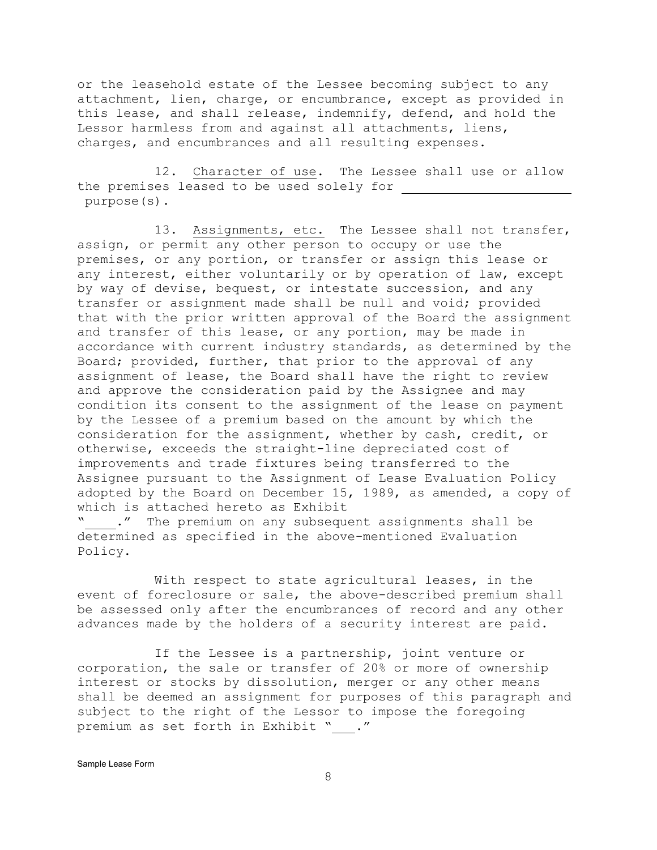or the leasehold estate of the Lessee becoming subject to any attachment, lien, charge, or encumbrance, except as provided in this lease, and shall release, indemnify, defend, and hold the Lessor harmless from and against all attachments, liens, charges, and encumbrances and all resulting expenses.

12. Character of use. The Lessee shall use or allow the premises leased to be used solely for purpose(s).

13. Assignments, etc. The Lessee shall not transfer, assign, or permit any other person to occupy or use the premises, or any portion, or transfer or assign this lease or any interest, either voluntarily or by operation of law, except by way of devise, bequest, or intestate succession, and any transfer or assignment made shall be null and void; provided that with the prior written approval of the Board the assignment and transfer of this lease, or any portion, may be made in accordance with current industry standards, as determined by the Board; provided, further, that prior to the approval of any assignment of lease, the Board shall have the right to review and approve the consideration paid by the Assignee and may condition its consent to the assignment of the lease on payment by the Lessee of a premium based on the amount by which the consideration for the assignment, whether by cash, credit, or otherwise, exceeds the straight-line depreciated cost of improvements and trade fixtures being transferred to the Assignee pursuant to the Assignment of Lease Evaluation Policy adopted by the Board on December 15, 1989, as amended, a copy of which is attached hereto as Exhibit " ." The premium on any subsequent assignments shall be

determined as specified in the above-mentioned Evaluation Policy.

With respect to state agricultural leases, in the event of foreclosure or sale, the above-described premium shall be assessed only after the encumbrances of record and any other advances made by the holders of a security interest are paid.

If the Lessee is a partnership, joint venture or corporation, the sale or transfer of 20% or more of ownership interest or stocks by dissolution, merger or any other means shall be deemed an assignment for purposes of this paragraph and subject to the right of the Lessor to impose the foregoing premium as set forth in Exhibit " ."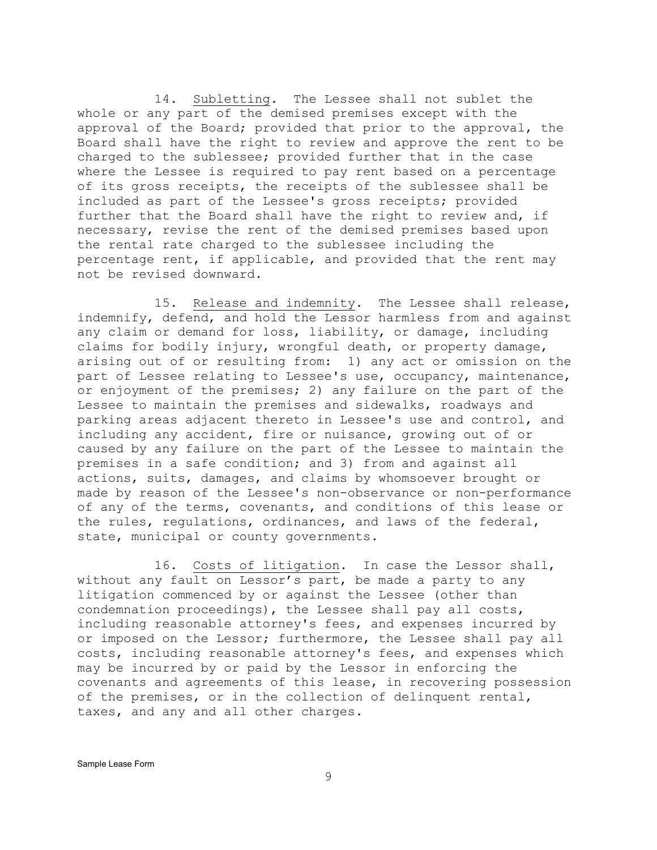14. Subletting. The Lessee shall not sublet the whole or any part of the demised premises except with the approval of the Board; provided that prior to the approval, the Board shall have the right to review and approve the rent to be charged to the sublessee; provided further that in the case where the Lessee is required to pay rent based on a percentage of its gross receipts, the receipts of the sublessee shall be included as part of the Lessee's gross receipts; provided further that the Board shall have the right to review and, if necessary, revise the rent of the demised premises based upon the rental rate charged to the sublessee including the percentage rent, if applicable, and provided that the rent may not be revised downward.

15. Release and indemnity. The Lessee shall release, indemnify, defend, and hold the Lessor harmless from and against any claim or demand for loss, liability, or damage, including claims for bodily injury, wrongful death, or property damage, arising out of or resulting from: 1) any act or omission on the part of Lessee relating to Lessee's use, occupancy, maintenance, or enjoyment of the premises; 2) any failure on the part of the Lessee to maintain the premises and sidewalks, roadways and parking areas adjacent thereto in Lessee's use and control, and including any accident, fire or nuisance, growing out of or caused by any failure on the part of the Lessee to maintain the premises in a safe condition; and 3) from and against all actions, suits, damages, and claims by whomsoever brought or made by reason of the Lessee's non-observance or non-performance of any of the terms, covenants, and conditions of this lease or the rules, regulations, ordinances, and laws of the federal, state, municipal or county governments.

16. Costs of litigation. In case the Lessor shall, without any fault on Lessor's part, be made a party to any litigation commenced by or against the Lessee (other than condemnation proceedings), the Lessee shall pay all costs, including reasonable attorney's fees, and expenses incurred by or imposed on the Lessor; furthermore, the Lessee shall pay all costs, including reasonable attorney's fees, and expenses which may be incurred by or paid by the Lessor in enforcing the covenants and agreements of this lease, in recovering possession of the premises, or in the collection of delinquent rental, taxes, and any and all other charges.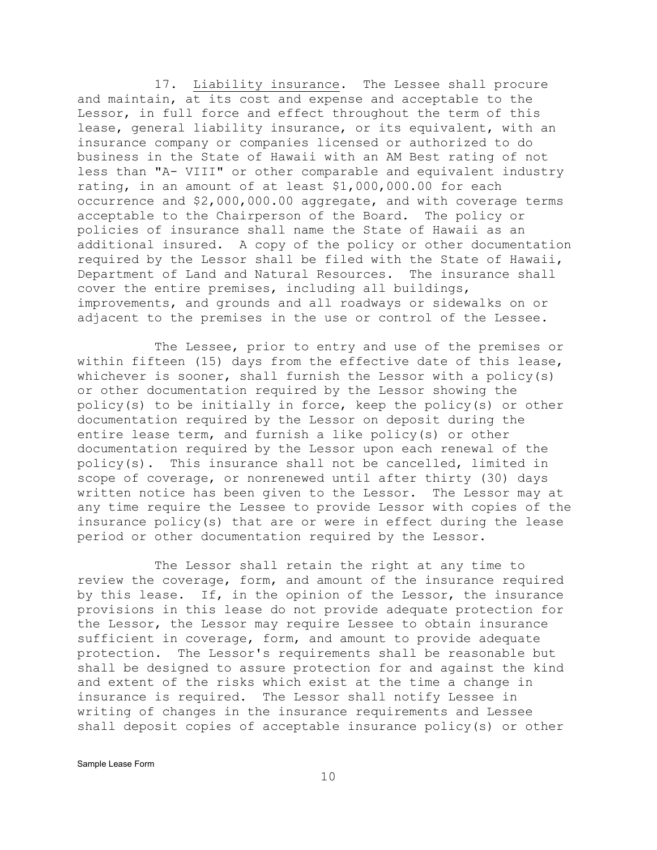17. Liability insurance. The Lessee shall procure and maintain, at its cost and expense and acceptable to the Lessor, in full force and effect throughout the term of this lease, general liability insurance, or its equivalent, with an insurance company or companies licensed or authorized to do business in the State of Hawaii with an AM Best rating of not less than "A- VIII" or other comparable and equivalent industry rating, in an amount of at least \$1,000,000.00 for each occurrence and \$2,000,000.00 aggregate, and with coverage terms acceptable to the Chairperson of the Board. The policy or policies of insurance shall name the State of Hawaii as an additional insured. A copy of the policy or other documentation required by the Lessor shall be filed with the State of Hawaii, Department of Land and Natural Resources. The insurance shall cover the entire premises, including all buildings, improvements, and grounds and all roadways or sidewalks on or adjacent to the premises in the use or control of the Lessee.

The Lessee, prior to entry and use of the premises or within fifteen (15) days from the effective date of this lease, whichever is sooner, shall furnish the Lessor with a policy(s) or other documentation required by the Lessor showing the policy(s) to be initially in force, keep the policy(s) or other documentation required by the Lessor on deposit during the entire lease term, and furnish a like policy(s) or other documentation required by the Lessor upon each renewal of the policy(s). This insurance shall not be cancelled, limited in scope of coverage, or nonrenewed until after thirty (30) days written notice has been given to the Lessor. The Lessor may at any time require the Lessee to provide Lessor with copies of the insurance policy(s) that are or were in effect during the lease period or other documentation required by the Lessor.

The Lessor shall retain the right at any time to review the coverage, form, and amount of the insurance required by this lease. If, in the opinion of the Lessor, the insurance provisions in this lease do not provide adequate protection for the Lessor, the Lessor may require Lessee to obtain insurance sufficient in coverage, form, and amount to provide adequate protection. The Lessor's requirements shall be reasonable but shall be designed to assure protection for and against the kind and extent of the risks which exist at the time a change in insurance is required. The Lessor shall notify Lessee in writing of changes in the insurance requirements and Lessee shall deposit copies of acceptable insurance policy(s) or other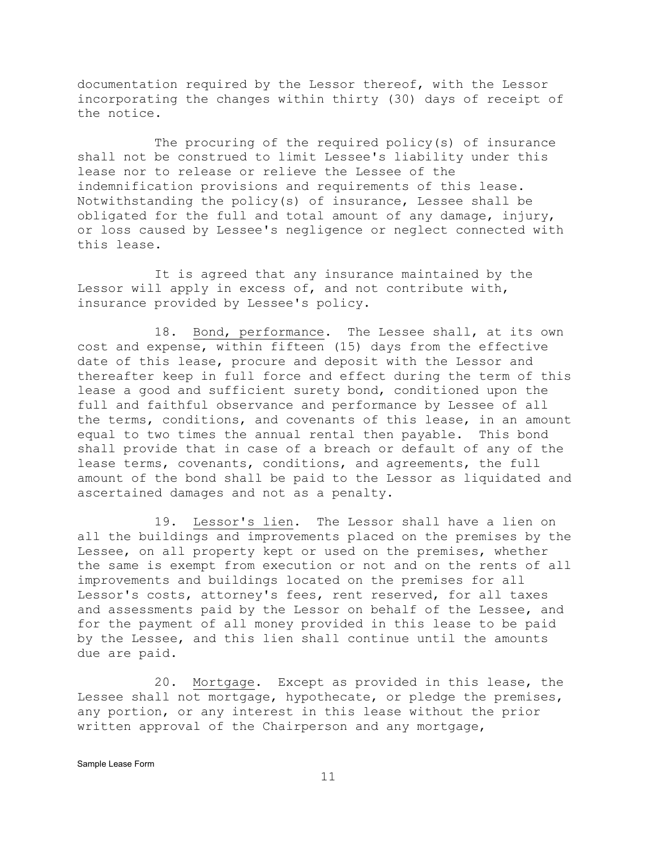documentation required by the Lessor thereof, with the Lessor incorporating the changes within thirty (30) days of receipt of the notice.

The procuring of the required policy(s) of insurance shall not be construed to limit Lessee's liability under this lease nor to release or relieve the Lessee of the indemnification provisions and requirements of this lease. Notwithstanding the policy(s) of insurance, Lessee shall be obligated for the full and total amount of any damage, injury, or loss caused by Lessee's negligence or neglect connected with this lease.

It is agreed that any insurance maintained by the Lessor will apply in excess of, and not contribute with, insurance provided by Lessee's policy.

18. Bond, performance. The Lessee shall, at its own cost and expense, within fifteen (15) days from the effective date of this lease, procure and deposit with the Lessor and thereafter keep in full force and effect during the term of this lease a good and sufficient surety bond, conditioned upon the full and faithful observance and performance by Lessee of all the terms, conditions, and covenants of this lease, in an amount equal to two times the annual rental then payable. This bond shall provide that in case of a breach or default of any of the lease terms, covenants, conditions, and agreements, the full amount of the bond shall be paid to the Lessor as liquidated and ascertained damages and not as a penalty.

19. Lessor's lien. The Lessor shall have a lien on all the buildings and improvements placed on the premises by the Lessee, on all property kept or used on the premises, whether the same is exempt from execution or not and on the rents of all improvements and buildings located on the premises for all Lessor's costs, attorney's fees, rent reserved, for all taxes and assessments paid by the Lessor on behalf of the Lessee, and for the payment of all money provided in this lease to be paid by the Lessee, and this lien shall continue until the amounts due are paid.

20. Mortgage. Except as provided in this lease, the Lessee shall not mortgage, hypothecate, or pledge the premises, any portion, or any interest in this lease without the prior written approval of the Chairperson and any mortgage,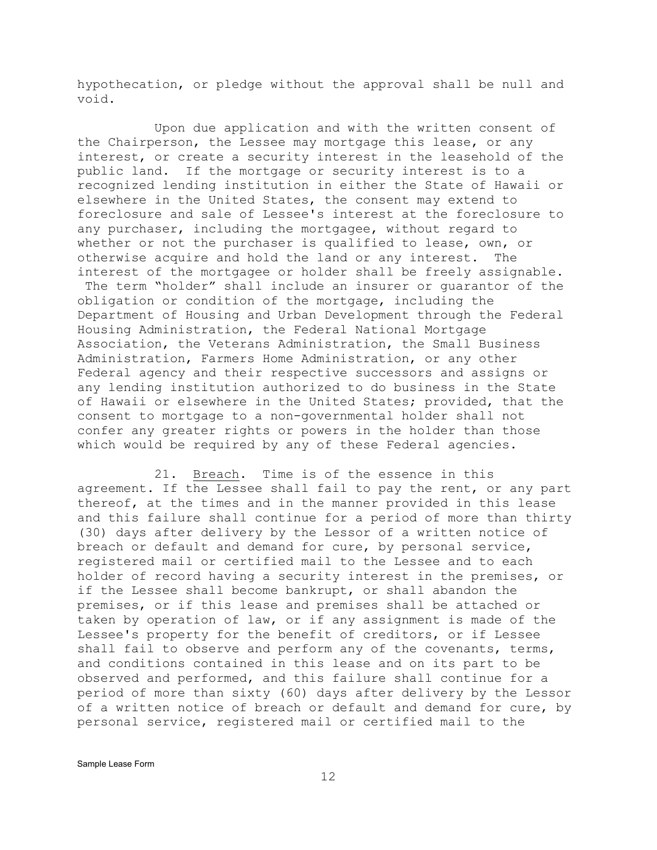hypothecation, or pledge without the approval shall be null and void.

Upon due application and with the written consent of the Chairperson, the Lessee may mortgage this lease, or any interest, or create a security interest in the leasehold of the public land. If the mortgage or security interest is to a recognized lending institution in either the State of Hawaii or elsewhere in the United States, the consent may extend to foreclosure and sale of Lessee's interest at the foreclosure to any purchaser, including the mortgagee, without regard to whether or not the purchaser is qualified to lease, own, or otherwise acquire and hold the land or any interest. The interest of the mortgagee or holder shall be freely assignable. The term "holder" shall include an insurer or guarantor of the obligation or condition of the mortgage, including the Department of Housing and Urban Development through the Federal Housing Administration, the Federal National Mortgage Association, the Veterans Administration, the Small Business Administration, Farmers Home Administration, or any other Federal agency and their respective successors and assigns or any lending institution authorized to do business in the State of Hawaii or elsewhere in the United States; provided, that the consent to mortgage to a non-governmental holder shall not confer any greater rights or powers in the holder than those which would be required by any of these Federal agencies.

21. Breach. Time is of the essence in this agreement. If the Lessee shall fail to pay the rent, or any part thereof, at the times and in the manner provided in this lease and this failure shall continue for a period of more than thirty (30) days after delivery by the Lessor of a written notice of breach or default and demand for cure, by personal service, registered mail or certified mail to the Lessee and to each holder of record having a security interest in the premises, or if the Lessee shall become bankrupt, or shall abandon the premises, or if this lease and premises shall be attached or taken by operation of law, or if any assignment is made of the Lessee's property for the benefit of creditors, or if Lessee shall fail to observe and perform any of the covenants, terms, and conditions contained in this lease and on its part to be observed and performed, and this failure shall continue for a period of more than sixty (60) days after delivery by the Lessor of a written notice of breach or default and demand for cure, by personal service, registered mail or certified mail to the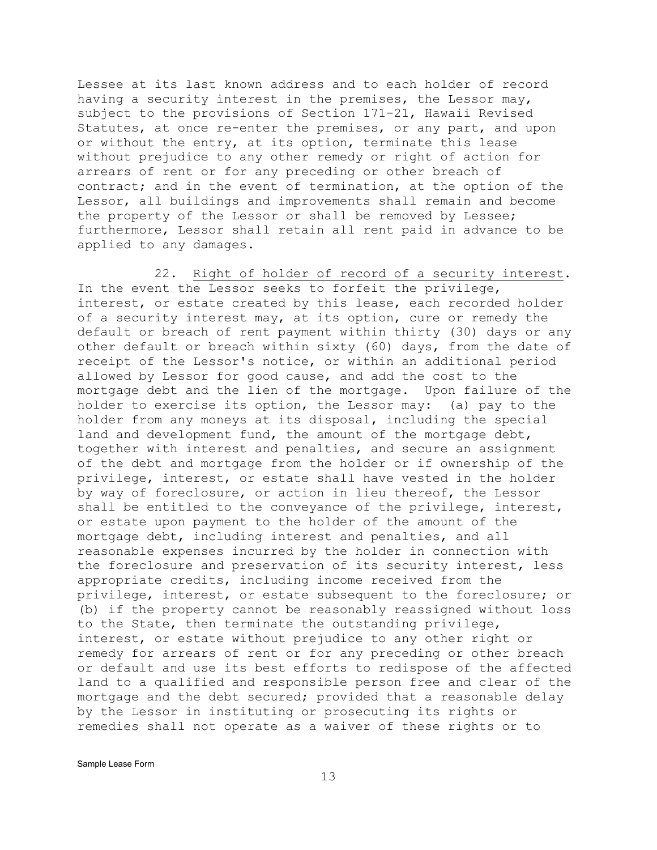Lessee at its last known address and to each holder of record having a security interest in the premises, the Lessor may, subject to the provisions of Section 171-21, Hawaii Revised Statutes, at once re-enter the premises, or any part, and upon or without the entry, at its option, terminate this lease without prejudice to any other remedy or right of action for arrears of rent or for any preceding or other breach of contract; and in the event of termination, at the option of the Lessor, all buildings and improvements shall remain and become the property of the Lessor or shall be removed by Lessee; furthermore, Lessor shall retain all rent paid in advance to be applied to any damages.

22. Right of holder of record of a security interest. In the event the Lessor seeks to forfeit the privilege, interest, or estate created by this lease, each recorded holder of a security interest may, at its option, cure or remedy the default or breach of rent payment within thirty (30) days or any other default or breach within sixty (60) days, from the date of receipt of the Lessor's notice, or within an additional period allowed by Lessor for good cause, and add the cost to the mortgage debt and the lien of the mortgage. Upon failure of the holder to exercise its option, the Lessor may: (a) pay to the holder from any moneys at its disposal, including the special land and development fund, the amount of the mortgage debt, together with interest and penalties, and secure an assignment of the debt and mortgage from the holder or if ownership of the privilege, interest, or estate shall have vested in the holder by way of foreclosure, or action in lieu thereof, the Lessor shall be entitled to the conveyance of the privilege, interest, or estate upon payment to the holder of the amount of the mortgage debt, including interest and penalties, and all reasonable expenses incurred by the holder in connection with the foreclosure and preservation of its security interest, less appropriate credits, including income received from the privilege, interest, or estate subsequent to the foreclosure; or (b) if the property cannot be reasonably reassigned without loss to the State, then terminate the outstanding privilege, interest, or estate without prejudice to any other right or remedy for arrears of rent or for any preceding or other breach or default and use its best efforts to redispose of the affected land to a qualified and responsible person free and clear of the mortgage and the debt secured; provided that a reasonable delay by the Lessor in instituting or prosecuting its rights or remedies shall not operate as a waiver of these rights or to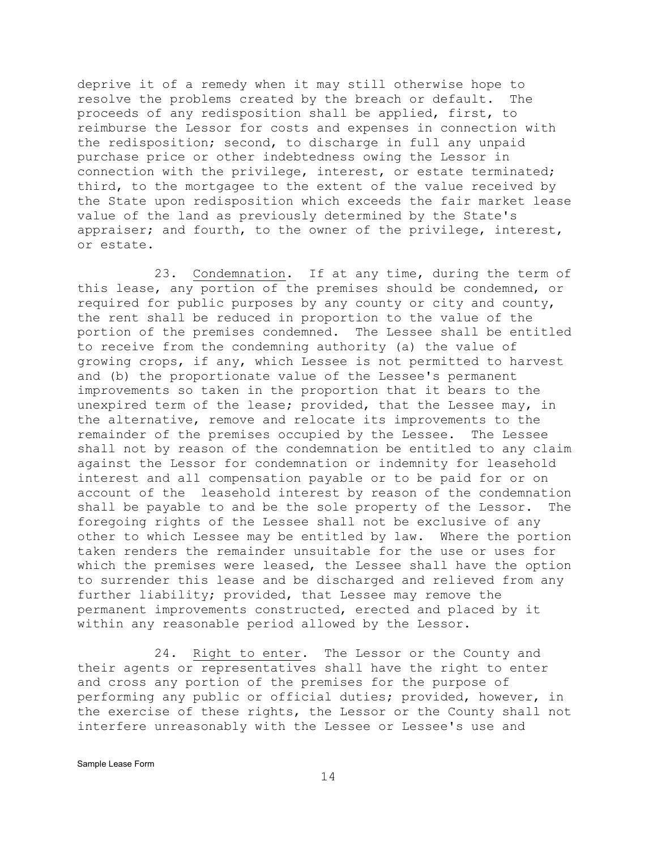deprive it of a remedy when it may still otherwise hope to resolve the problems created by the breach or default. The proceeds of any redisposition shall be applied, first, to reimburse the Lessor for costs and expenses in connection with the redisposition; second, to discharge in full any unpaid purchase price or other indebtedness owing the Lessor in connection with the privilege, interest, or estate terminated; third, to the mortgagee to the extent of the value received by the State upon redisposition which exceeds the fair market lease value of the land as previously determined by the State's appraiser; and fourth, to the owner of the privilege, interest, or estate.

23. Condemnation. If at any time, during the term of this lease, any portion of the premises should be condemned, or required for public purposes by any county or city and county, the rent shall be reduced in proportion to the value of the portion of the premises condemned. The Lessee shall be entitled to receive from the condemning authority (a) the value of growing crops, if any, which Lessee is not permitted to harvest and (b) the proportionate value of the Lessee's permanent improvements so taken in the proportion that it bears to the unexpired term of the lease; provided, that the Lessee may, in the alternative, remove and relocate its improvements to the remainder of the premises occupied by the Lessee. The Lessee shall not by reason of the condemnation be entitled to any claim against the Lessor for condemnation or indemnity for leasehold interest and all compensation payable or to be paid for or on account of the leasehold interest by reason of the condemnation shall be payable to and be the sole property of the Lessor. The foregoing rights of the Lessee shall not be exclusive of any other to which Lessee may be entitled by law. Where the portion taken renders the remainder unsuitable for the use or uses for which the premises were leased, the Lessee shall have the option to surrender this lease and be discharged and relieved from any further liability; provided, that Lessee may remove the permanent improvements constructed, erected and placed by it within any reasonable period allowed by the Lessor.

24. Right to enter. The Lessor or the County and their agents or representatives shall have the right to enter and cross any portion of the premises for the purpose of performing any public or official duties; provided, however, in the exercise of these rights, the Lessor or the County shall not interfere unreasonably with the Lessee or Lessee's use and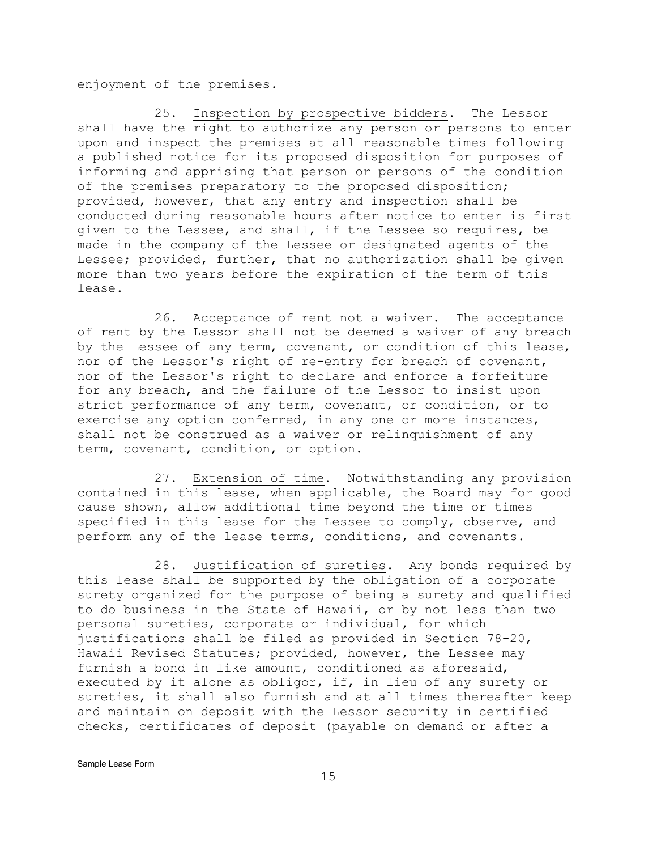enjoyment of the premises.

25. Inspection by prospective bidders. The Lessor shall have the right to authorize any person or persons to enter upon and inspect the premises at all reasonable times following a published notice for its proposed disposition for purposes of informing and apprising that person or persons of the condition of the premises preparatory to the proposed disposition; provided, however, that any entry and inspection shall be conducted during reasonable hours after notice to enter is first given to the Lessee, and shall, if the Lessee so requires, be made in the company of the Lessee or designated agents of the Lessee; provided, further, that no authorization shall be given more than two years before the expiration of the term of this lease.

26. Acceptance of rent not a waiver. The acceptance of rent by the Lessor shall not be deemed a waiver of any breach by the Lessee of any term, covenant, or condition of this lease, nor of the Lessor's right of re-entry for breach of covenant, nor of the Lessor's right to declare and enforce a forfeiture for any breach, and the failure of the Lessor to insist upon strict performance of any term, covenant, or condition, or to exercise any option conferred, in any one or more instances, shall not be construed as a waiver or relinquishment of any term, covenant, condition, or option.

27. Extension of time. Notwithstanding any provision contained in this lease, when applicable, the Board may for good cause shown, allow additional time beyond the time or times specified in this lease for the Lessee to comply, observe, and perform any of the lease terms, conditions, and covenants.

28. Justification of sureties. Any bonds required by this lease shall be supported by the obligation of a corporate surety organized for the purpose of being a surety and qualified to do business in the State of Hawaii, or by not less than two personal sureties, corporate or individual, for which justifications shall be filed as provided in Section 78-20, Hawaii Revised Statutes; provided, however, the Lessee may furnish a bond in like amount, conditioned as aforesaid, executed by it alone as obligor, if, in lieu of any surety or sureties, it shall also furnish and at all times thereafter keep and maintain on deposit with the Lessor security in certified checks, certificates of deposit (payable on demand or after a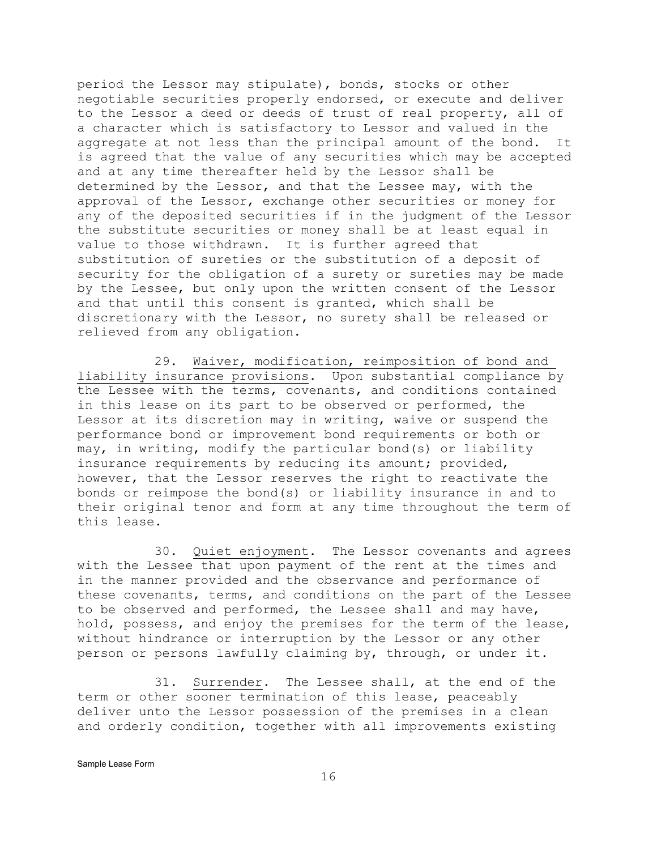period the Lessor may stipulate), bonds, stocks or other negotiable securities properly endorsed, or execute and deliver to the Lessor a deed or deeds of trust of real property, all of a character which is satisfactory to Lessor and valued in the aggregate at not less than the principal amount of the bond. It is agreed that the value of any securities which may be accepted and at any time thereafter held by the Lessor shall be determined by the Lessor, and that the Lessee may, with the approval of the Lessor, exchange other securities or money for any of the deposited securities if in the judgment of the Lessor the substitute securities or money shall be at least equal in value to those withdrawn. It is further agreed that substitution of sureties or the substitution of a deposit of security for the obligation of a surety or sureties may be made by the Lessee, but only upon the written consent of the Lessor and that until this consent is granted, which shall be discretionary with the Lessor, no surety shall be released or relieved from any obligation.

29. Waiver, modification, reimposition of bond and liability insurance provisions. Upon substantial compliance by the Lessee with the terms, covenants, and conditions contained in this lease on its part to be observed or performed, the Lessor at its discretion may in writing, waive or suspend the performance bond or improvement bond requirements or both or may, in writing, modify the particular bond(s) or liability insurance requirements by reducing its amount; provided, however, that the Lessor reserves the right to reactivate the bonds or reimpose the bond(s) or liability insurance in and to their original tenor and form at any time throughout the term of this lease.

30. Quiet enjoyment. The Lessor covenants and agrees with the Lessee that upon payment of the rent at the times and in the manner provided and the observance and performance of these covenants, terms, and conditions on the part of the Lessee to be observed and performed, the Lessee shall and may have, hold, possess, and enjoy the premises for the term of the lease, without hindrance or interruption by the Lessor or any other person or persons lawfully claiming by, through, or under it.

31. Surrender. The Lessee shall, at the end of the term or other sooner termination of this lease, peaceably deliver unto the Lessor possession of the premises in a clean and orderly condition, together with all improvements existing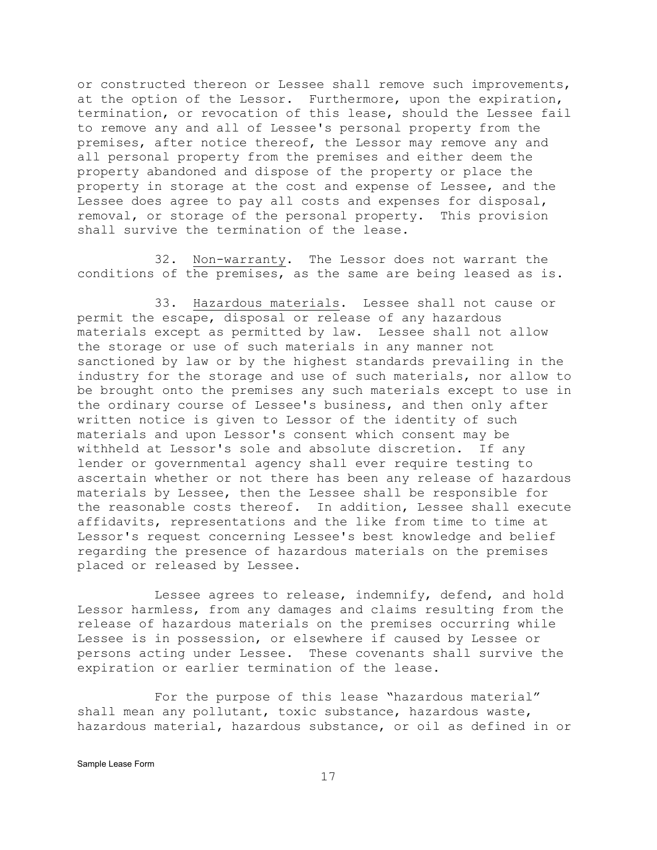or constructed thereon or Lessee shall remove such improvements, at the option of the Lessor. Furthermore, upon the expiration, termination, or revocation of this lease, should the Lessee fail to remove any and all of Lessee's personal property from the premises, after notice thereof, the Lessor may remove any and all personal property from the premises and either deem the property abandoned and dispose of the property or place the property in storage at the cost and expense of Lessee, and the Lessee does agree to pay all costs and expenses for disposal, removal, or storage of the personal property. This provision shall survive the termination of the lease.

32. Non-warranty. The Lessor does not warrant the conditions of the premises, as the same are being leased as is.

33. Hazardous materials. Lessee shall not cause or permit the escape, disposal or release of any hazardous materials except as permitted by law. Lessee shall not allow the storage or use of such materials in any manner not sanctioned by law or by the highest standards prevailing in the industry for the storage and use of such materials, nor allow to be brought onto the premises any such materials except to use in the ordinary course of Lessee's business, and then only after written notice is given to Lessor of the identity of such materials and upon Lessor's consent which consent may be withheld at Lessor's sole and absolute discretion. If any lender or governmental agency shall ever require testing to ascertain whether or not there has been any release of hazardous materials by Lessee, then the Lessee shall be responsible for the reasonable costs thereof. In addition, Lessee shall execute affidavits, representations and the like from time to time at Lessor's request concerning Lessee's best knowledge and belief regarding the presence of hazardous materials on the premises placed or released by Lessee.

Lessee agrees to release, indemnify, defend, and hold Lessor harmless, from any damages and claims resulting from the release of hazardous materials on the premises occurring while Lessee is in possession, or elsewhere if caused by Lessee or persons acting under Lessee. These covenants shall survive the expiration or earlier termination of the lease.

For the purpose of this lease "hazardous material" shall mean any pollutant, toxic substance, hazardous waste, hazardous material, hazardous substance, or oil as defined in or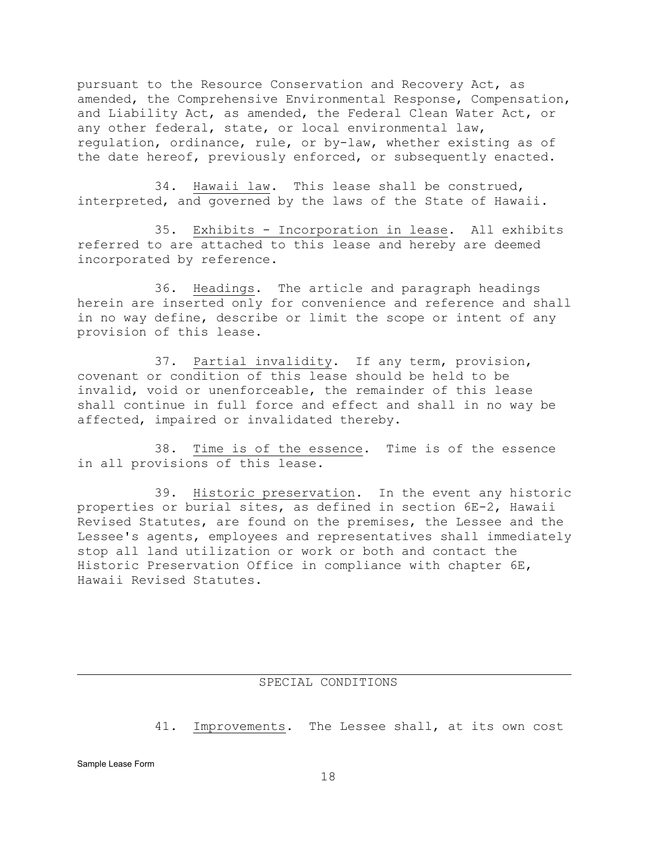pursuant to the Resource Conservation and Recovery Act, as amended, the Comprehensive Environmental Response, Compensation, and Liability Act, as amended, the Federal Clean Water Act, or any other federal, state, or local environmental law, regulation, ordinance, rule, or by-law, whether existing as of the date hereof, previously enforced, or subsequently enacted.

34. Hawaii law. This lease shall be construed, interpreted, and governed by the laws of the State of Hawaii.

35. Exhibits - Incorporation in lease. All exhibits referred to are attached to this lease and hereby are deemed incorporated by reference.

36. Headings. The article and paragraph headings herein are inserted only for convenience and reference and shall in no way define, describe or limit the scope or intent of any provision of this lease.

37. Partial invalidity. If any term, provision, covenant or condition of this lease should be held to be invalid, void or unenforceable, the remainder of this lease shall continue in full force and effect and shall in no way be affected, impaired or invalidated thereby.

38. Time is of the essence. Time is of the essence in all provisions of this lease.

39. Historic preservation. In the event any historic properties or burial sites, as defined in section 6E-2, Hawaii Revised Statutes, are found on the premises, the Lessee and the Lessee's agents, employees and representatives shall immediately stop all land utilization or work or both and contact the Historic Preservation Office in compliance with chapter 6E, Hawaii Revised Statutes.

## SPECIAL CONDITIONS

41. Improvements. The Lessee shall, at its own cost

j.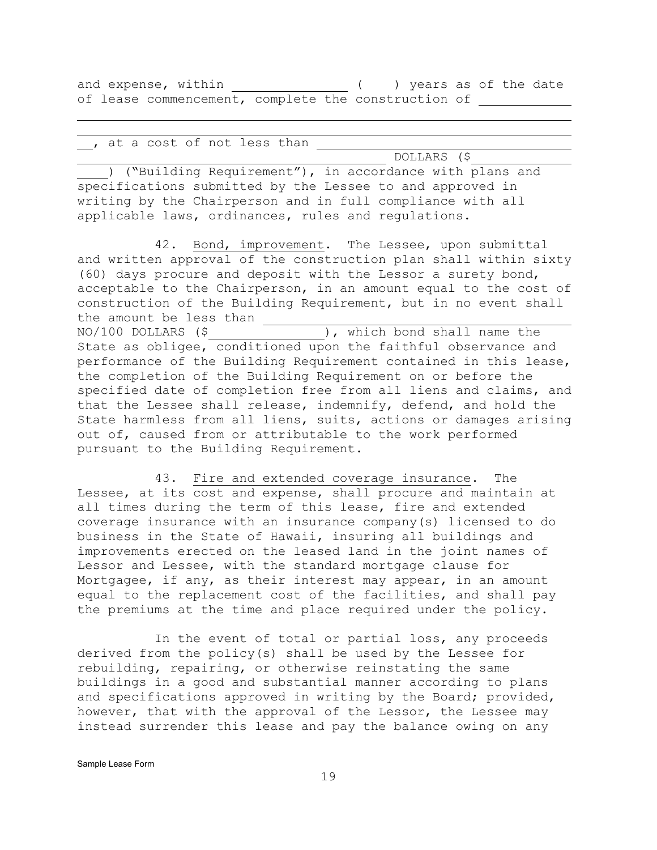and expense, within ( ) years as of the date of lease commencement, complete the construction of

, at a cost of not less than

j. j.

 DOLLARS (\$ ) ("Building Requirement"), in accordance with plans and specifications submitted by the Lessee to and approved in writing by the Chairperson and in full compliance with all applicable laws, ordinances, rules and regulations.

42. Bond, improvement. The Lessee, upon submittal and written approval of the construction plan shall within sixty (60) days procure and deposit with the Lessor a surety bond, acceptable to the Chairperson, in an amount equal to the cost of construction of the Building Requirement, but in no event shall the amount be less than  $\frac{1}{100}$ ), which bond shall name the State as obligee, conditioned upon the faithful observance and performance of the Building Requirement contained in this lease, the completion of the Building Requirement on or before the specified date of completion free from all liens and claims, and that the Lessee shall release, indemnify, defend, and hold the State harmless from all liens, suits, actions or damages arising out of, caused from or attributable to the work performed pursuant to the Building Requirement.

43. Fire and extended coverage insurance. The Lessee, at its cost and expense, shall procure and maintain at all times during the term of this lease, fire and extended coverage insurance with an insurance company(s) licensed to do business in the State of Hawaii, insuring all buildings and improvements erected on the leased land in the joint names of Lessor and Lessee, with the standard mortgage clause for Mortgagee, if any, as their interest may appear, in an amount equal to the replacement cost of the facilities, and shall pay the premiums at the time and place required under the policy.

In the event of total or partial loss, any proceeds derived from the policy(s) shall be used by the Lessee for rebuilding, repairing, or otherwise reinstating the same buildings in a good and substantial manner according to plans and specifications approved in writing by the Board; provided, however, that with the approval of the Lessor, the Lessee may instead surrender this lease and pay the balance owing on any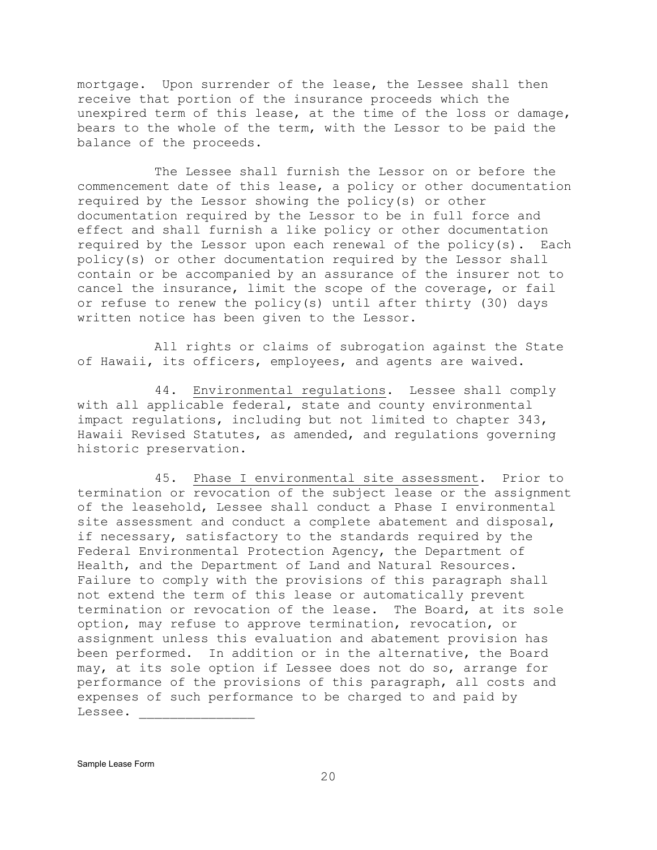mortgage. Upon surrender of the lease, the Lessee shall then receive that portion of the insurance proceeds which the unexpired term of this lease, at the time of the loss or damage, bears to the whole of the term, with the Lessor to be paid the balance of the proceeds.

The Lessee shall furnish the Lessor on or before the commencement date of this lease, a policy or other documentation required by the Lessor showing the policy(s) or other documentation required by the Lessor to be in full force and effect and shall furnish a like policy or other documentation required by the Lessor upon each renewal of the policy(s). Each policy(s) or other documentation required by the Lessor shall contain or be accompanied by an assurance of the insurer not to cancel the insurance, limit the scope of the coverage, or fail or refuse to renew the policy(s) until after thirty (30) days written notice has been given to the Lessor.

All rights or claims of subrogation against the State of Hawaii, its officers, employees, and agents are waived.

44. Environmental regulations. Lessee shall comply with all applicable federal, state and county environmental impact regulations, including but not limited to chapter 343, Hawaii Revised Statutes, as amended, and regulations governing historic preservation.

45. Phase I environmental site assessment. Prior to termination or revocation of the subject lease or the assignment of the leasehold, Lessee shall conduct a Phase I environmental site assessment and conduct a complete abatement and disposal, if necessary, satisfactory to the standards required by the Federal Environmental Protection Agency, the Department of Health, and the Department of Land and Natural Resources. Failure to comply with the provisions of this paragraph shall not extend the term of this lease or automatically prevent termination or revocation of the lease. The Board, at its sole option, may refuse to approve termination, revocation, or assignment unless this evaluation and abatement provision has been performed. In addition or in the alternative, the Board may, at its sole option if Lessee does not do so, arrange for performance of the provisions of this paragraph, all costs and expenses of such performance to be charged to and paid by Lessee. \_\_\_\_\_\_\_\_\_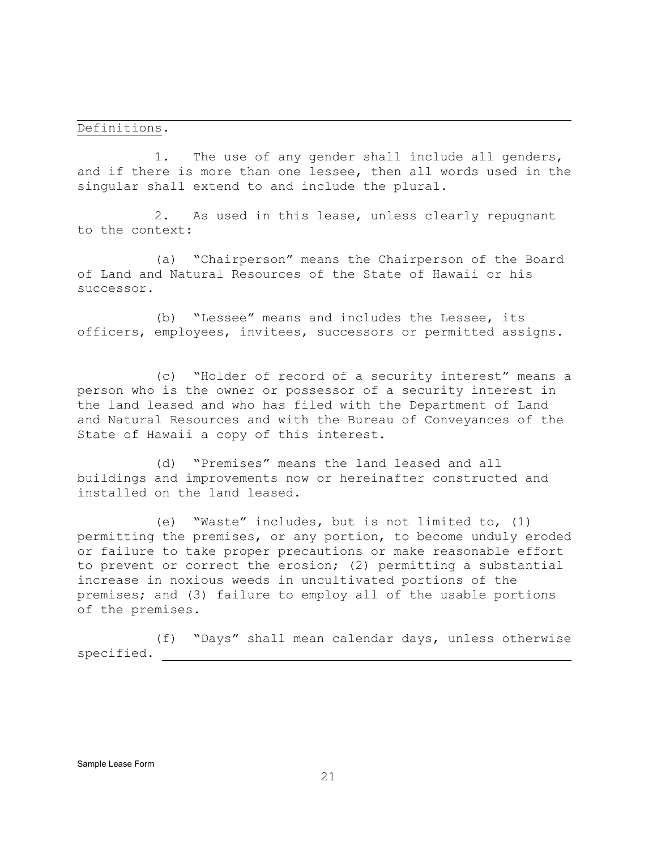#### Definitions.

j.

1. The use of any gender shall include all genders, and if there is more than one lessee, then all words used in the singular shall extend to and include the plural.

2. As used in this lease, unless clearly repugnant to the context:

(a) "Chairperson" means the Chairperson of the Board of Land and Natural Resources of the State of Hawaii or his successor.

(b) "Lessee" means and includes the Lessee, its officers, employees, invitees, successors or permitted assigns.

(c) "Holder of record of a security interest" means a person who is the owner or possessor of a security interest in the land leased and who has filed with the Department of Land and Natural Resources and with the Bureau of Conveyances of the State of Hawaii a copy of this interest.

(d) "Premises" means the land leased and all buildings and improvements now or hereinafter constructed and installed on the land leased.

(e) "Waste" includes, but is not limited to, (1) permitting the premises, or any portion, to become unduly eroded or failure to take proper precautions or make reasonable effort to prevent or correct the erosion; (2) permitting a substantial increase in noxious weeds in uncultivated portions of the premises; and (3) failure to employ all of the usable portions of the premises.

(f) "Days" shall mean calendar days, unless otherwise specified.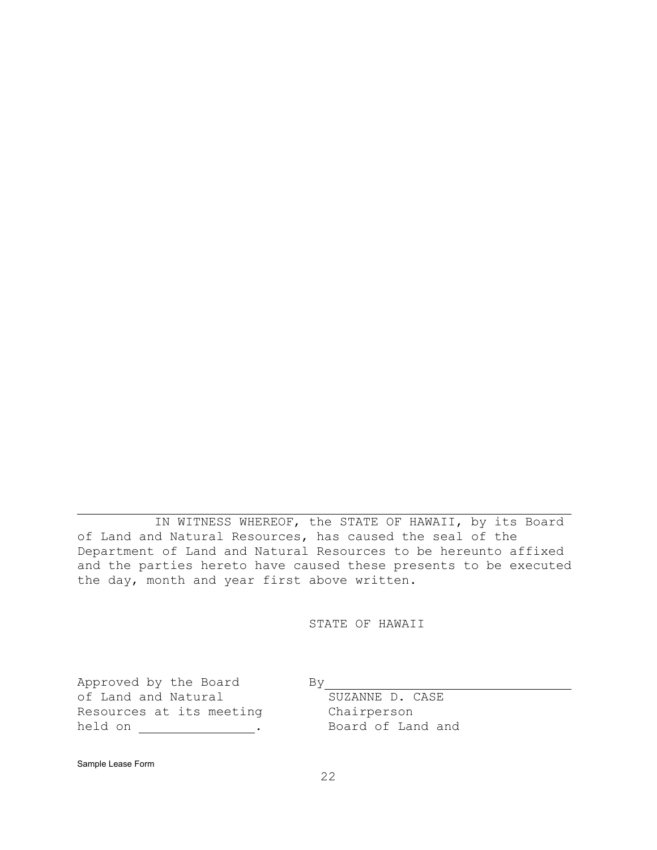j. IN WITNESS WHEREOF, the STATE OF HAWAII, by its Board of Land and Natural Resources, has caused the seal of the Department of Land and Natural Resources to be hereunto affixed and the parties hereto have caused these presents to be executed the day, month and year first above written.

STATE OF HAWAII

Approved by the Board By By BY BUZANNE D. CASE of Land and Natural Resources at its meeting Chairperson<br>
held on 
in Example Board of Land and held on  $\qquad \qquad \qquad$ .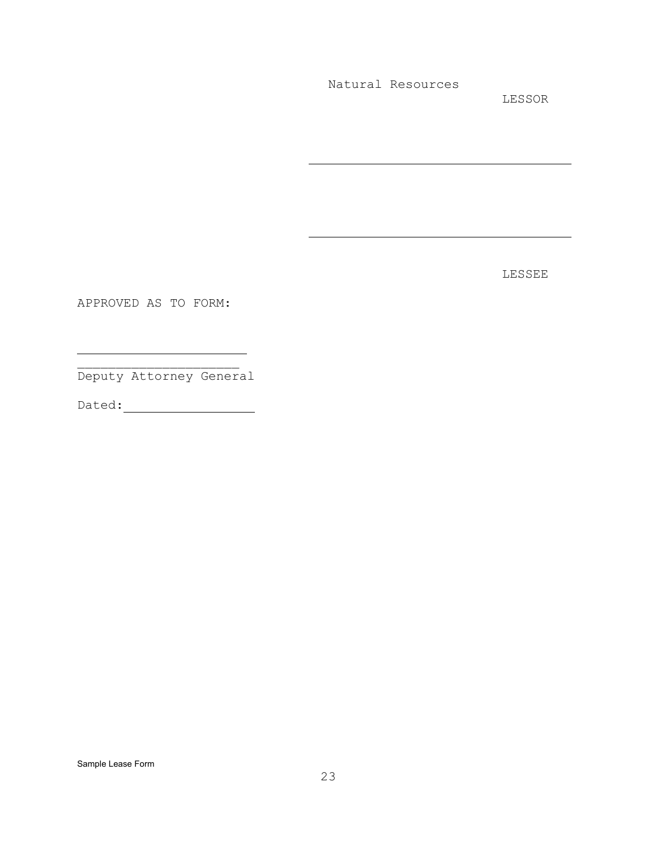Natural Resources

j.

j.

LESSOR

LESSEE

APPROVED AS TO FORM:

j.

\_\_\_\_\_\_\_\_\_\_\_\_\_\_\_\_\_\_\_\_\_ Deputy Attorney General

Dated: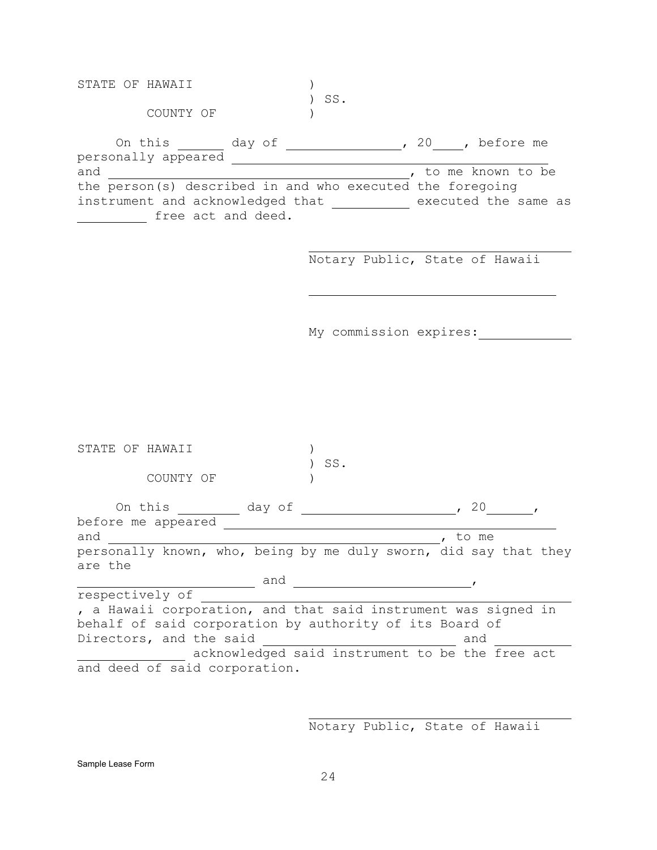STATE OF HAWAII  $)$ ) SS. COUNTY OF  $)$ On this <u>each</u> day of <u>containing</u>, 20 , before me personally appeared <u>and</u> the set of the set of the set of the set of the set of the set of the set of the set of the set of the set of the set of the set of the set of the set of the set of the set of the set of the set o *i* to me known to be the person(s) described in and who executed the foregoing instrument and acknowledged that executed the same as free act and deed.

j.

j.

Notary Public, State of Hawaii

My commission expires:

| STATE<br>∩F<br>HAWATT                                            |        | SS. |                                                 |
|------------------------------------------------------------------|--------|-----|-------------------------------------------------|
| COUNTY OF                                                        |        |     |                                                 |
| On this                                                          | day of |     | 20                                              |
| before me appeared                                               |        |     |                                                 |
| and                                                              |        |     | to me                                           |
| personally known, who, being by me duly sworn, did say that they |        |     |                                                 |
| are the                                                          |        |     |                                                 |
|                                                                  | and    |     |                                                 |
| respectively of                                                  |        |     |                                                 |
| , a Hawaii corporation, and that said instrument was signed in   |        |     |                                                 |
| behalf of said corporation by authority of its Board of          |        |     |                                                 |
| Directors, and the said                                          |        |     | and                                             |
|                                                                  |        |     | acknowledged said instrument to be the free act |
| and deed of said corporation.                                    |        |     |                                                 |

Notary Public, State of Hawaii

j.